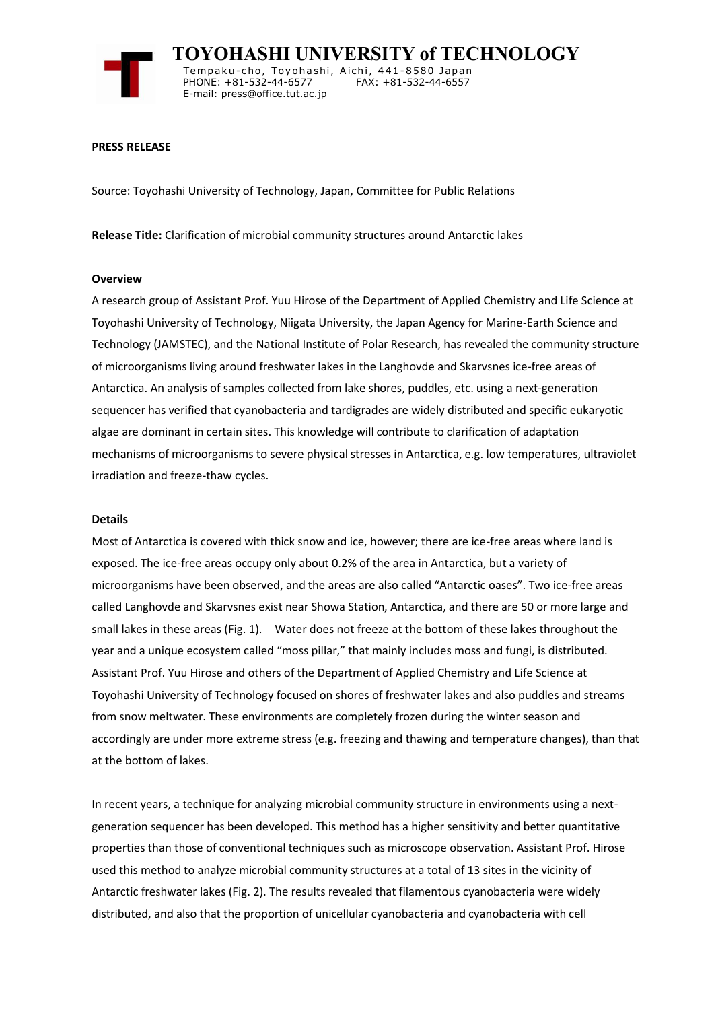

 **TOYOHASHI UNIVERSITY of TECHNOLOGY** Tempaku-cho, Toyohashi, Aichi, 441-8580 Japan<br>PHONE: +81-532-44-6577 FAX: +81-532-44-6557 PHONE: +81-532-44-6577 E-mail: press@office.tut.ac.jp

### **PRESS RELEASE**

Source: Toyohashi University of Technology, Japan, Committee for Public Relations

**Release Title:** Clarification of microbial community structures around Antarctic lakes

#### **Overview**

A research group of Assistant Prof. Yuu Hirose of the Department of Applied Chemistry and Life Science at Toyohashi University of Technology, Niigata University, the Japan Agency for Marine-Earth Science and Technology (JAMSTEC), and the National Institute of Polar Research, has revealed the community structure of microorganisms living around freshwater lakes in the Langhovde and Skarvsnes ice-free areas of Antarctica. An analysis of samples collected from lake shores, puddles, etc. using a next-generation sequencer has verified that cyanobacteria and tardigrades are widely distributed and specific eukaryotic algae are dominant in certain sites. This knowledge will contribute to clarification of adaptation mechanisms of microorganisms to severe physical stresses in Antarctica, e.g. low temperatures, ultraviolet irradiation and freeze-thaw cycles.

### **Details**

Most of Antarctica is covered with thick snow and ice, however; there are ice-free areas where land is exposed. The ice-free areas occupy only about 0.2% of the area in Antarctica, but a variety of microorganisms have been observed, and the areas are also called "Antarctic oases". Two ice-free areas called Langhovde and Skarvsnes exist near Showa Station, Antarctica, and there are 50 or more large and small lakes in these areas (Fig. 1). Water does not freeze at the bottom of these lakes throughout the year and a unique ecosystem called "moss pillar," that mainly includes moss and fungi, is distributed. Assistant Prof. Yuu Hirose and others of the Department of Applied Chemistry and Life Science at Toyohashi University of Technology focused on shores of freshwater lakes and also puddles and streams from snow meltwater. These environments are completely frozen during the winter season and accordingly are under more extreme stress (e.g. freezing and thawing and temperature changes), than that at the bottom of lakes.

In recent years, a technique for analyzing microbial community structure in environments using a nextgeneration sequencer has been developed. This method has a higher sensitivity and better quantitative properties than those of conventional techniques such as microscope observation. Assistant Prof. Hirose used this method to analyze microbial community structures at a total of 13 sites in the vicinity of Antarctic freshwater lakes (Fig. 2). The results revealed that filamentous cyanobacteria were widely distributed, and also that the proportion of unicellular cyanobacteria and cyanobacteria with cell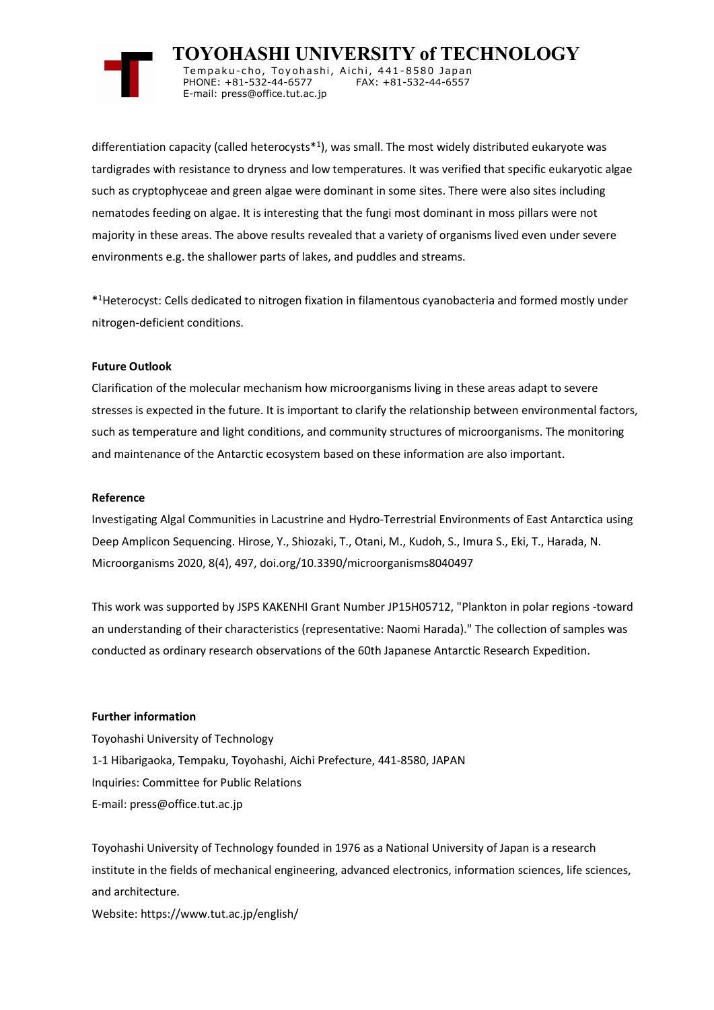

 **TOYOHASHI UNIVERSITY of TECHNOLOGY** Tempaku-cho, Toyohashi, Aichi, 441-8580 Japan<br>PHONE: +81-532-44-6577 FAX: +81-532-44-6557 PHONE: +81-532-44-6577 E-mail: press@office.tut.ac.jp

differentiation capacity (called heterocysts\*<sup>1</sup> ), was small. The most widely distributed eukaryote was tardigrades with resistance to dryness and low temperatures. It was verified that specific eukaryotic algae such as cryptophyceae and green algae were dominant in some sites. There were also sites including nematodes feeding on algae. It is interesting that the fungi most dominant in moss pillars were not majority in these areas. The above results revealed that a variety of organisms lived even under severe environments e.g. the shallower parts of lakes, and puddles and streams.

\* <sup>1</sup>Heterocyst: Cells dedicated to nitrogen fixation in filamentous cyanobacteria and formed mostly under nitrogen-deficient conditions.

# **Future Outlook**

Clarification of the molecular mechanism how microorganisms living in these areas adapt to severe stresses is expected in the future. It is important to clarify the relationship between environmental factors, such as temperature and light conditions, and community structures of microorganisms. The monitoring and maintenance of the Antarctic ecosystem based on these information are also important.

## **Reference**

Investigating Algal Communities in Lacustrine and Hydro-Terrestrial Environments of East Antarctica using Deep Amplicon Sequencing. Hirose, Y., Shiozaki, T., Otani, M., Kudoh, S., Imura S., Eki, T., Harada, N. Microorganisms 2020, 8(4), 497, doi.org/10.3390/microorganisms8040497

This work was supported by JSPS KAKENHI Grant Number JP15H05712, "Plankton in polar regions -toward an understanding of their characteristics (representative: Naomi Harada)." The collection of samples was conducted as ordinary research observations of the 60th Japanese Antarctic Research Expedition.

## **Further information**

Toyohashi University of Technology 1-1 Hibarigaoka, Tempaku, Toyohashi, Aichi Prefecture, 441-8580, JAPAN Inquiries: Committee for Public Relations E-mail: press@office.tut.ac.jp

Toyohashi University of Technology founded in 1976 as a National University of Japan is a research institute in the fields of mechanical engineering, advanced electronics, information sciences, life sciences, and architecture.

Website: https://www.tut.ac.jp/english/